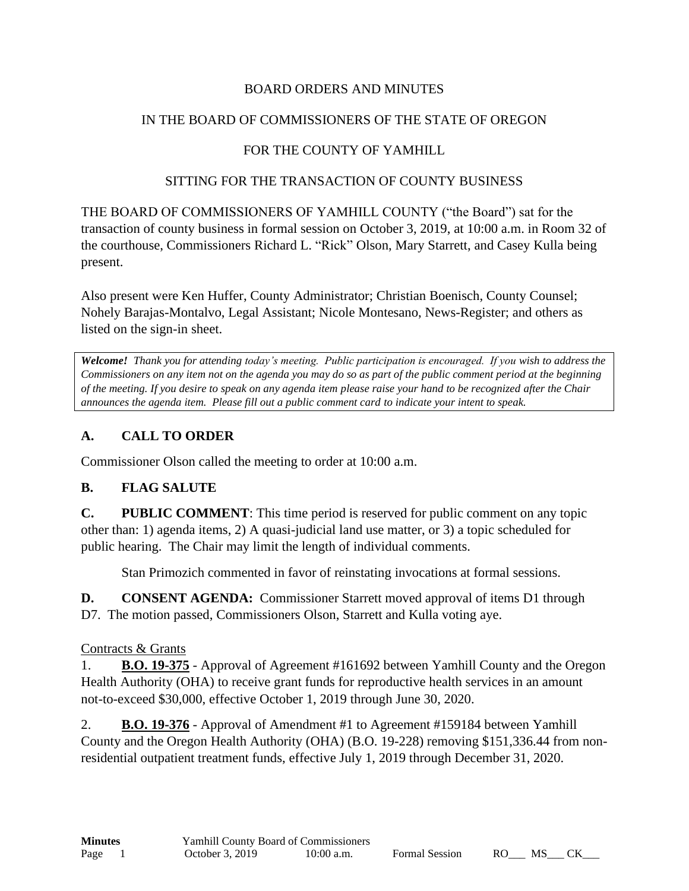## BOARD ORDERS AND MINUTES

### IN THE BOARD OF COMMISSIONERS OF THE STATE OF OREGON

# FOR THE COUNTY OF YAMHILL

#### SITTING FOR THE TRANSACTION OF COUNTY BUSINESS

THE BOARD OF COMMISSIONERS OF YAMHILL COUNTY ("the Board") sat for the transaction of county business in formal session on October 3, 2019, at 10:00 a.m. in Room 32 of the courthouse, Commissioners Richard L. "Rick" Olson, Mary Starrett, and Casey Kulla being present.

Also present were Ken Huffer, County Administrator; Christian Boenisch, County Counsel; Nohely Barajas-Montalvo, Legal Assistant; Nicole Montesano, News-Register; and others as listed on the sign-in sheet.

*Welcome! Thank you for attending today's meeting. Public participation is encouraged. If you wish to address the Commissioners on any item not on the agenda you may do so as part of the public comment period at the beginning of the meeting. If you desire to speak on any agenda item please raise your hand to be recognized after the Chair announces the agenda item. Please fill out a public comment card to indicate your intent to speak.*

# **A. CALL TO ORDER**

Commissioner Olson called the meeting to order at 10:00 a.m.

## **B. FLAG SALUTE**

**C. PUBLIC COMMENT**: This time period is reserved for public comment on any topic other than: 1) agenda items, 2) A quasi-judicial land use matter, or 3) a topic scheduled for public hearing. The Chair may limit the length of individual comments.

Stan Primozich commented in favor of reinstating invocations at formal sessions.

**D. CONSENT AGENDA:** Commissioner Starrett moved approval of items D1 through D7. The motion passed, Commissioners Olson, Starrett and Kulla voting aye.

## Contracts & Grants

1. **B.O. 19-375** - Approval of Agreement #161692 between Yamhill County and the Oregon Health Authority (OHA) to receive grant funds for reproductive health services in an amount not-to-exceed \$30,000, effective October 1, 2019 through June 30, 2020.

2. **B.O. 19-376** - Approval of Amendment #1 to Agreement #159184 between Yamhill County and the Oregon Health Authority (OHA) (B.O. 19-228) removing \$151,336.44 from nonresidential outpatient treatment funds, effective July 1, 2019 through December 31, 2020.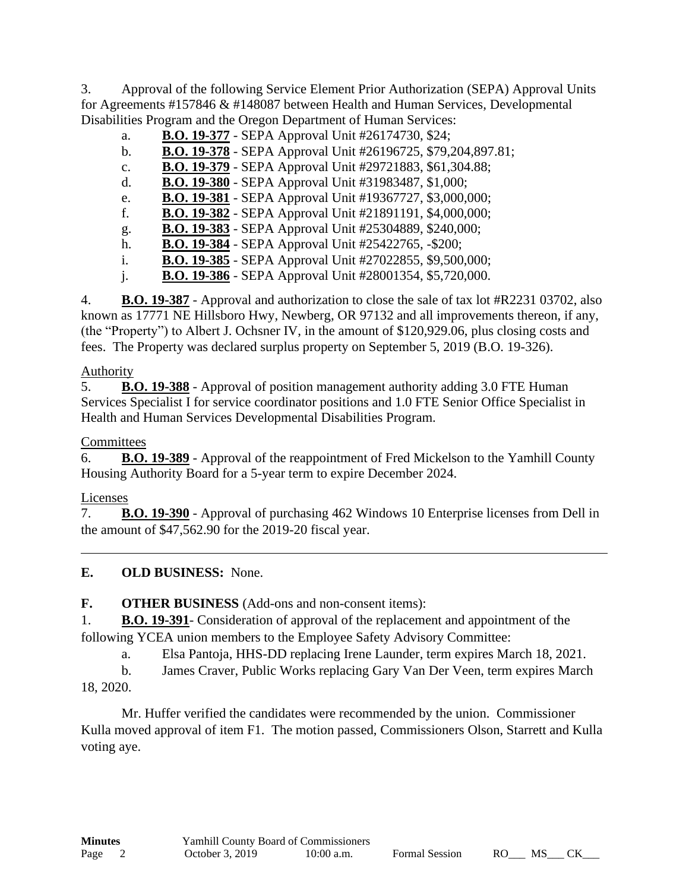3. Approval of the following Service Element Prior Authorization (SEPA) Approval Units for Agreements #157846 & #148087 between Health and Human Services, Developmental Disabilities Program and the Oregon Department of Human Services:

| a.             | <b>B.O. 19-377</b> - SEPA Approval Unit #26174730, \$24;        |
|----------------|-----------------------------------------------------------------|
| $b$ .          | B.O. 19-378 - SEPA Approval Unit #26196725, \$79,204,897.81;    |
| $C_{\bullet}$  | <b>B.O. 19-379 - SEPA Approval Unit #29721883, \$61,304.88;</b> |
| d.             | <b>B.O. 19-380</b> - SEPA Approval Unit #31983487, \$1,000;     |
| e.             | B.O. 19-381 - SEPA Approval Unit #19367727, \$3,000,000;        |
| f.             | <b>B.O. 19-382</b> - SEPA Approval Unit #21891191, \$4,000,000; |
| g.             | B.O. 19-383 - SEPA Approval Unit #25304889, \$240,000;          |
| h.             | <b>B.O. 19-384</b> - SEPA Approval Unit #25422765, -\$200;      |
| $\mathbf{i}$ . | <b>B.O. 19-385</b> - SEPA Approval Unit #27022855, \$9,500,000; |
| j.             | B.O. 19-386 - SEPA Approval Unit #28001354, \$5,720,000.        |

4. **B.O. 19-387** - Approval and authorization to close the sale of tax lot #R2231 03702, also known as 17771 NE Hillsboro Hwy, Newberg, OR 97132 and all improvements thereon, if any, (the "Property") to Albert J. Ochsner IV, in the amount of \$120,929.06, plus closing costs and fees. The Property was declared surplus property on September 5, 2019 (B.O. 19-326).

### Authority

5. **B.O. 19-388** - Approval of position management authority adding 3.0 FTE Human Services Specialist I for service coordinator positions and 1.0 FTE Senior Office Specialist in Health and Human Services Developmental Disabilities Program.

### **Committees**

6. **B.O. 19-389** - Approval of the reappointment of Fred Mickelson to the Yamhill County Housing Authority Board for a 5-year term to expire December 2024.

#### Licenses

7. **B.O. 19-390** - Approval of purchasing 462 Windows 10 Enterprise licenses from Dell in the amount of \$47,562.90 for the 2019-20 fiscal year.

## **E. OLD BUSINESS:** None.

**F. OTHER BUSINESS** (Add-ons and non-consent items):

1. **B.O. 19-391**- Consideration of approval of the replacement and appointment of the following YCEA union members to the Employee Safety Advisory Committee:

a. Elsa Pantoja, HHS-DD replacing Irene Launder, term expires March 18, 2021.

b. James Craver, Public Works replacing Gary Van Der Veen, term expires March 18, 2020.

Mr. Huffer verified the candidates were recommended by the union. Commissioner Kulla moved approval of item F1. The motion passed, Commissioners Olson, Starrett and Kulla voting aye.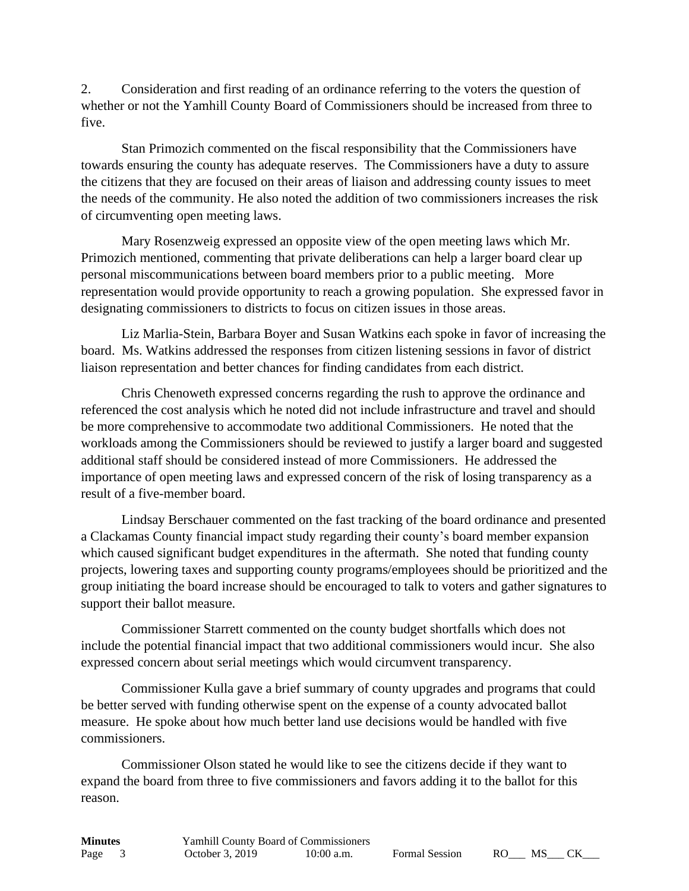2. Consideration and first reading of an ordinance referring to the voters the question of whether or not the Yamhill County Board of Commissioners should be increased from three to five.

Stan Primozich commented on the fiscal responsibility that the Commissioners have towards ensuring the county has adequate reserves. The Commissioners have a duty to assure the citizens that they are focused on their areas of liaison and addressing county issues to meet the needs of the community. He also noted the addition of two commissioners increases the risk of circumventing open meeting laws.

Mary Rosenzweig expressed an opposite view of the open meeting laws which Mr. Primozich mentioned, commenting that private deliberations can help a larger board clear up personal miscommunications between board members prior to a public meeting. More representation would provide opportunity to reach a growing population. She expressed favor in designating commissioners to districts to focus on citizen issues in those areas.

Liz Marlia-Stein, Barbara Boyer and Susan Watkins each spoke in favor of increasing the board. Ms. Watkins addressed the responses from citizen listening sessions in favor of district liaison representation and better chances for finding candidates from each district.

Chris Chenoweth expressed concerns regarding the rush to approve the ordinance and referenced the cost analysis which he noted did not include infrastructure and travel and should be more comprehensive to accommodate two additional Commissioners. He noted that the workloads among the Commissioners should be reviewed to justify a larger board and suggested additional staff should be considered instead of more Commissioners. He addressed the importance of open meeting laws and expressed concern of the risk of losing transparency as a result of a five-member board.

Lindsay Berschauer commented on the fast tracking of the board ordinance and presented a Clackamas County financial impact study regarding their county's board member expansion which caused significant budget expenditures in the aftermath. She noted that funding county projects, lowering taxes and supporting county programs/employees should be prioritized and the group initiating the board increase should be encouraged to talk to voters and gather signatures to support their ballot measure.

Commissioner Starrett commented on the county budget shortfalls which does not include the potential financial impact that two additional commissioners would incur. She also expressed concern about serial meetings which would circumvent transparency.

Commissioner Kulla gave a brief summary of county upgrades and programs that could be better served with funding otherwise spent on the expense of a county advocated ballot measure. He spoke about how much better land use decisions would be handled with five commissioners.

Commissioner Olson stated he would like to see the citizens decide if they want to expand the board from three to five commissioners and favors adding it to the ballot for this reason.

| <b>Minutes</b> |                 | <b>Yamhill County Board of Commissioners</b> |                       |     |      |  |
|----------------|-----------------|----------------------------------------------|-----------------------|-----|------|--|
| Page           | October 3, 2019 | $10:00$ a.m.                                 | <b>Formal Session</b> | RO. | - MS |  |